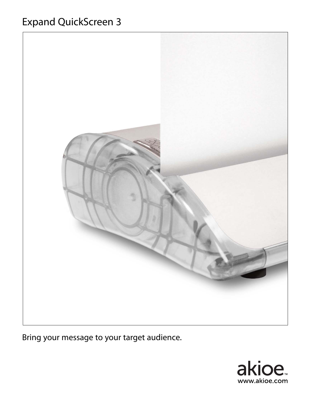## Expand QuickScreen 3



Bring your message to your target audience.